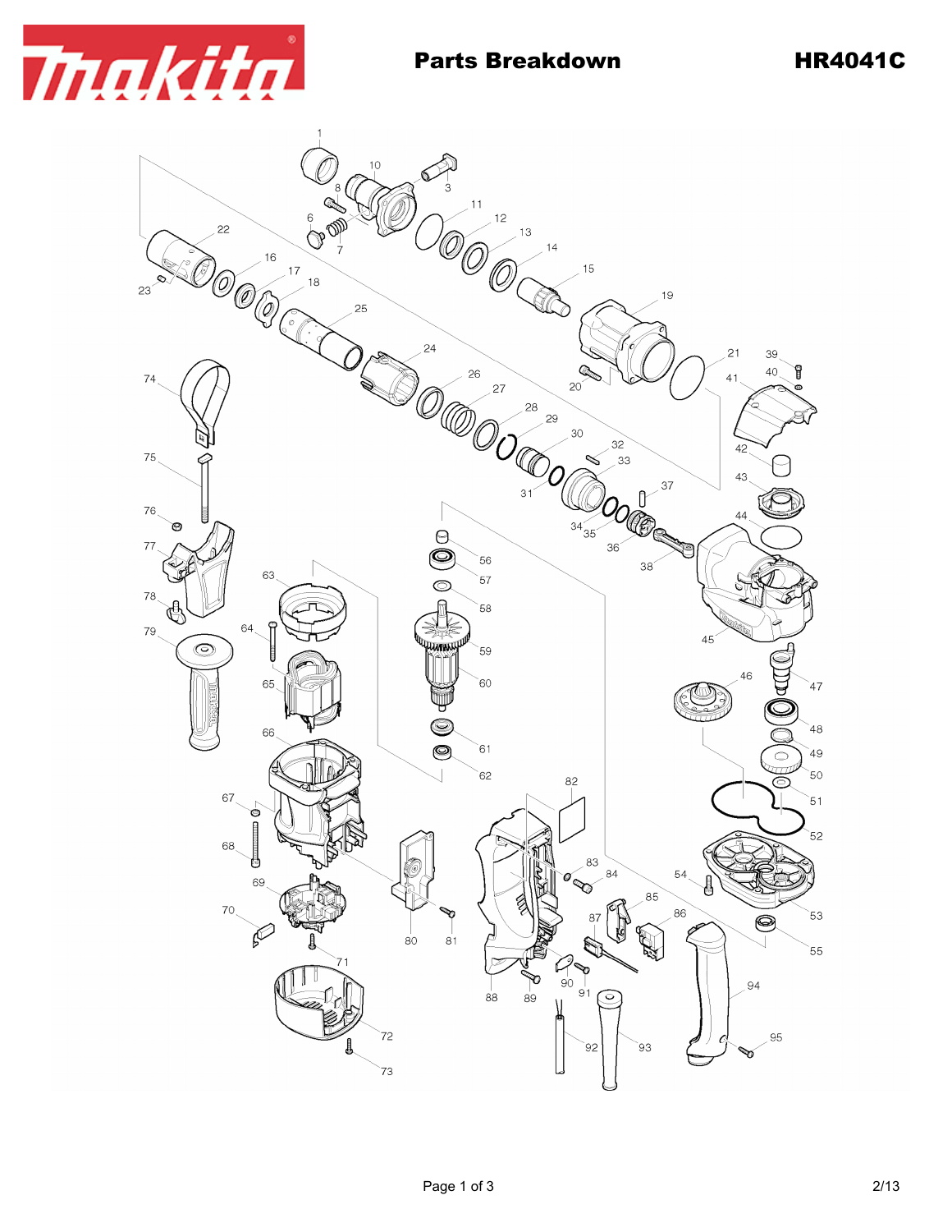

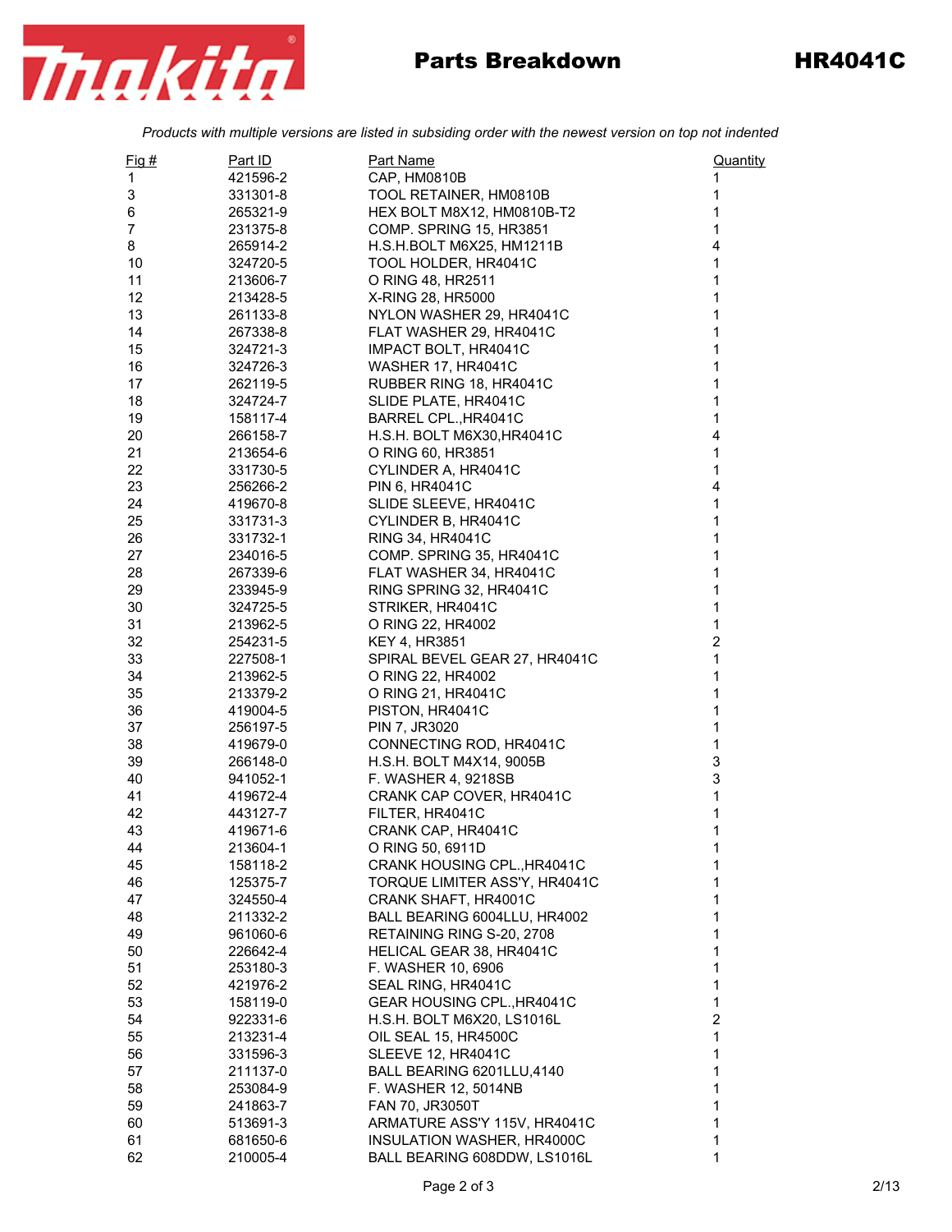

## Parts Breakdown HR4041C

*Products with multiple versions are listed in subsiding order with the newest version on top not indented*

| $Fig. \#$      | Part ID  | <b>Part Name</b>              | Quantity                |
|----------------|----------|-------------------------------|-------------------------|
| 1              | 421596-2 | CAP, HM0810B                  | 1                       |
| 3              | 331301-8 | TOOL RETAINER, HM0810B        | 1                       |
| 6              | 265321-9 | HEX BOLT M8X12, HM0810B-T2    | 1                       |
| $\overline{7}$ | 231375-8 | COMP. SPRING 15, HR3851       | $\mathbf 1$             |
| 8              | 265914-2 | H.S.H.BOLT M6X25, HM1211B     | 4                       |
| 10             | 324720-5 | TOOL HOLDER, HR4041C          | 1                       |
| 11             | 213606-7 | O RING 48, HR2511             | 1                       |
| 12             | 213428-5 | X-RING 28, HR5000             | 1                       |
| 13             | 261133-8 | NYLON WASHER 29, HR4041C      | 1                       |
| 14             | 267338-8 | FLAT WASHER 29, HR4041C       | 1                       |
| 15             | 324721-3 | IMPACT BOLT, HR4041C          | 1                       |
| 16             | 324726-3 | <b>WASHER 17, HR4041C</b>     | 1                       |
| 17             | 262119-5 | RUBBER RING 18, HR4041C       | 1                       |
| 18             | 324724-7 | SLIDE PLATE, HR4041C          | 1                       |
| 19             | 158117-4 | BARREL CPL., HR4041C          | 1                       |
| 20             | 266158-7 | H.S.H. BOLT M6X30, HR4041C    | 4                       |
| 21             | 213654-6 | O RING 60, HR3851             | $\mathbf 1$             |
| 22             | 331730-5 | CYLINDER A, HR4041C           | 1                       |
| 23             | 256266-2 | PIN 6, HR4041C                | 4                       |
| 24             | 419670-8 | SLIDE SLEEVE, HR4041C         | 1                       |
| 25             | 331731-3 | CYLINDER B, HR4041C           | 1                       |
| 26             | 331732-1 | RING 34, HR4041C              | 1                       |
| 27             | 234016-5 | COMP. SPRING 35, HR4041C      | 1                       |
| 28             | 267339-6 | FLAT WASHER 34, HR4041C       | 1                       |
| 29             | 233945-9 | RING SPRING 32, HR4041C       | 1                       |
| 30             | 324725-5 | STRIKER, HR4041C              | 1                       |
| 31             | 213962-5 | O RING 22, HR4002             | 1                       |
| 32             | 254231-5 | <b>KEY 4, HR3851</b>          | 2                       |
| 33             | 227508-1 | SPIRAL BEVEL GEAR 27, HR4041C | 1                       |
| 34             | 213962-5 | O RING 22, HR4002             | 1                       |
| 35             | 213379-2 | O RING 21, HR4041C            | 1                       |
| 36             | 419004-5 | PISTON, HR4041C               | 1                       |
| 37             | 256197-5 | PIN 7, JR3020                 | 1                       |
| 38             | 419679-0 | CONNECTING ROD, HR4041C       | 1                       |
| 39             | 266148-0 | H.S.H. BOLT M4X14, 9005B      | 3                       |
| 40             | 941052-1 | F. WASHER 4, 9218SB           | 3                       |
| 41             | 419672-4 | CRANK CAP COVER, HR4041C      | 1                       |
| 42             | 443127-7 | FILTER, HR4041C               | 1                       |
| 43             | 419671-6 | CRANK CAP, HR4041C            | 1                       |
| 44             | 213604-1 | O RING 50, 6911D              | 1                       |
| 45             | 158118-2 | CRANK HOUSING CPL., HR4041C   | 1                       |
| 46             | 125375-7 | TORQUE LIMITER ASS'Y, HR4041C | 1                       |
| 47             | 324550-4 | CRANK SHAFT, HR4001C          | 1                       |
| 48             | 211332-2 | BALL BEARING 6004LLU, HR4002  | 1                       |
| 49             | 961060-6 | RETAINING RING S-20, 2708     | 1                       |
| 50             | 226642-4 | HELICAL GEAR 38, HR4041C      | 1                       |
| 51             | 253180-3 | F. WASHER 10, 6906            | 1                       |
| 52             | 421976-2 | SEAL RING, HR4041C            | 1                       |
| 53             | 158119-0 | GEAR HOUSING CPL., HR4041C    | 1                       |
| 54             | 922331-6 | H.S.H. BOLT M6X20, LS1016L    | $\overline{\mathbf{c}}$ |
| 55             | 213231-4 | OIL SEAL 15, HR4500C          | 1                       |
| 56             | 331596-3 | <b>SLEEVE 12, HR4041C</b>     | 1                       |
| 57             | 211137-0 | BALL BEARING 6201LLU,4140     | 1                       |
| 58             | 253084-9 | F. WASHER 12, 5014NB          | 1                       |
| 59             | 241863-7 | FAN 70, JR3050T               | 1                       |
| 60             | 513691-3 | ARMATURE ASS'Y 115V, HR4041C  | 1                       |
| 61             | 681650-6 | INSULATION WASHER, HR4000C    | 1                       |
| 62             | 210005-4 | BALL BEARING 608DDW, LS1016L  | 1                       |